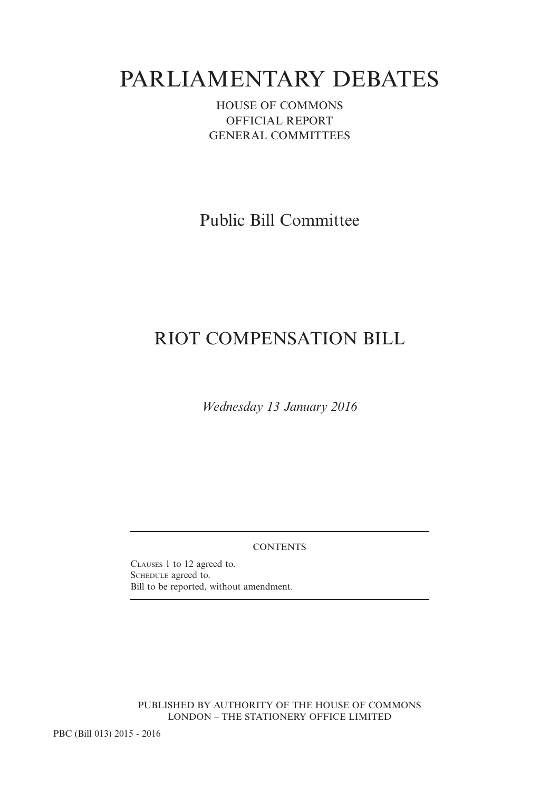# PARLIAMENTARY DEBATES

HOUSE OF COMMONS OFFICIAL REPORT GENERAL COMMITTEES

Public Bill Committee

## RIOT COMPENSATION BILL

*Wednesday 13 January 2016*

**CONTENTS** 

CLAUSES 1 to 12 agreed to. SCHEDULE agreed to. Bill to be reported, without amendment.

PUBLISHED BY AUTHORITY OF THE HOUSE OF COMMONS LONDON – THE STATIONERY OFFICE LIMITED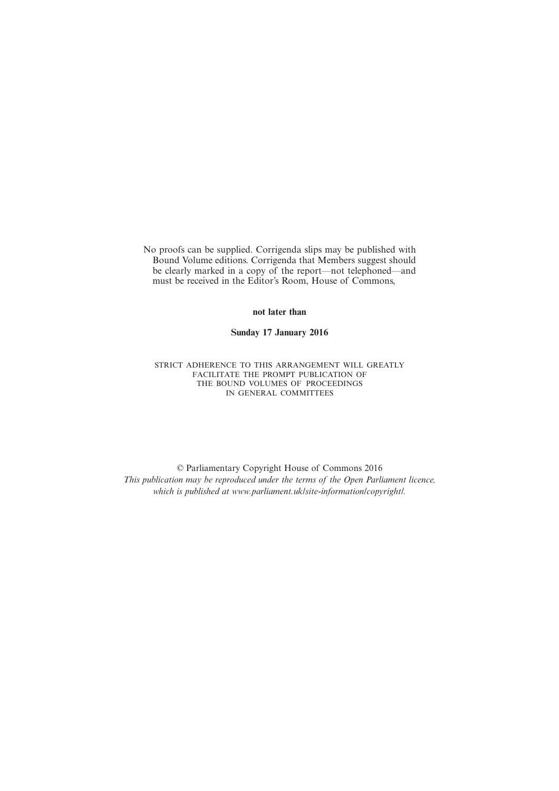No proofs can be supplied. Corrigenda slips may be published with Bound Volume editions. Corrigenda that Members suggest should be clearly marked in a copy of the report—not telephoned—and must be received in the Editor's Room, House of Commons,

**not later than**

**Sunday 17 January 2016**

STRICT ADHERENCE TO THIS ARRANGEMENT WILL GREATLY FACILITATE THE PROMPT PUBLICATION OF THE BOUND VOLUMES OF PROCEEDINGS IN GENERAL COMMITTEES

© Parliamentary Copyright House of Commons 2016 *This publication may be reproduced under the terms of the Open Parliament licence, which is published at www.parliament.uk/site-information/copyright/.*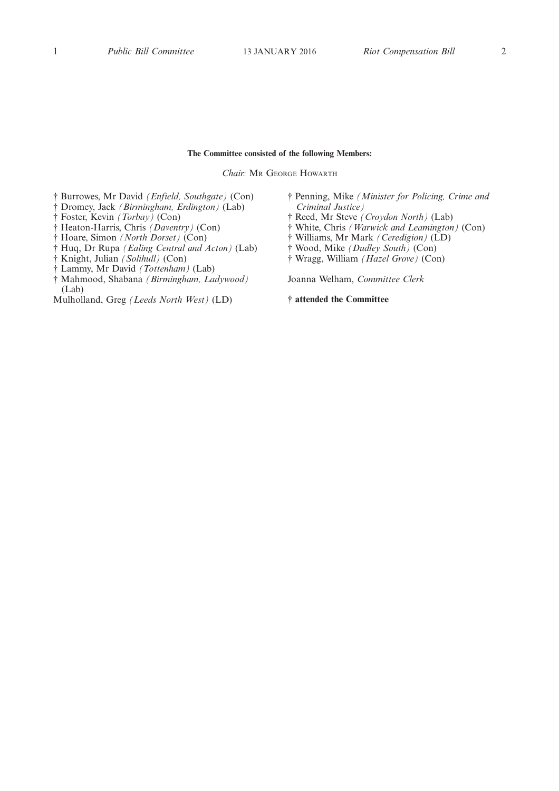#### **The Committee consisted of the following Members:**

*Chair:* MR GEORGE HOWARTH

- † Burrowes, Mr David *(Enfield, Southgate)* (Con)
- † Dromey, Jack *(Birmingham, Erdington)* (Lab)
- † Foster, Kevin *(Torbay)* (Con)
- † Heaton-Harris, Chris *(Daventry)* (Con)
- † Hoare, Simon *(North Dorset)* (Con)
- † Huq, Dr Rupa *(Ealing Central and Acton)* (Lab)
- † Knight, Julian *(Solihull)* (Con)
- † Lammy, Mr David *(Tottenham)* (Lab)
- † Mahmood, Shabana *(Birmingham, Ladywood)* (Lab)
- Mulholland, Greg *(Leeds North West)* (LD)
- † Penning, Mike *(Minister for Policing, Crime and Criminal Justice)*
- † Reed, Mr Steve *(Croydon North)* (Lab)
- † White, Chris *(Warwick and Leamington)* (Con)
- † Williams, Mr Mark *(Ceredigion)* (LD)
- † Wood, Mike *(Dudley South)* (Con)
- † Wragg, William *(Hazel Grove)* (Con)

Joanna Welham, *Committee Clerk*

**† attended the Committee**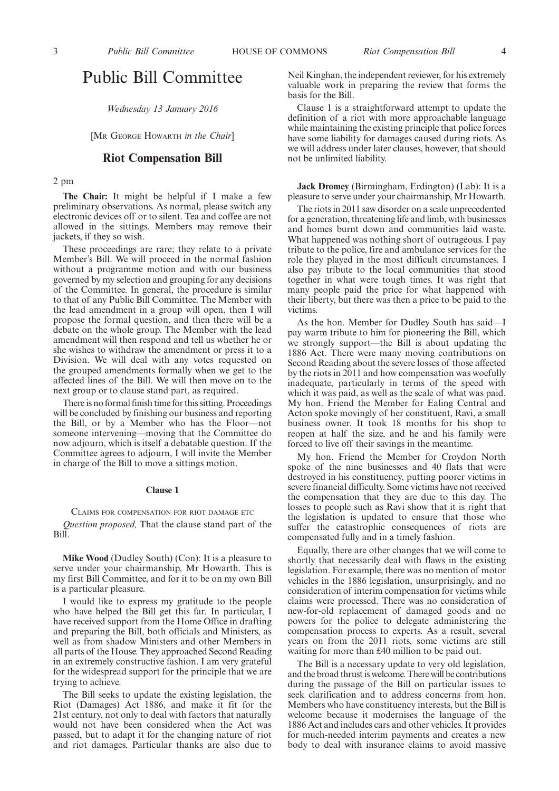### Public Bill Committee

*Wednesday 13 January 2016*

[MR GEORGE HOWARTH *in the Chair*]

#### **Riot Compensation Bill**

2 pm

**The Chair:** It might be helpful if I make a few preliminary observations. As normal, please switch any electronic devices off or to silent. Tea and coffee are not allowed in the sittings. Members may remove their jackets, if they so wish.

These proceedings are rare; they relate to a private Member's Bill. We will proceed in the normal fashion without a programme motion and with our business governed by my selection and grouping for any decisions of the Committee. In general, the procedure is similar to that of any Public Bill Committee. The Member with the lead amendment in a group will open, then I will propose the formal question, and then there will be a debate on the whole group. The Member with the lead amendment will then respond and tell us whether he or she wishes to withdraw the amendment or press it to a Division. We will deal with any votes requested on the grouped amendments formally when we get to the affected lines of the Bill. We will then move on to the next group or to clause stand part, as required.

There is no formal finish time for this sitting. Proceedings will be concluded by finishing our business and reporting the Bill, or by a Member who has the Floor—not someone intervening—moving that the Committee do now adjourn, which is itself a debatable question. If the Committee agrees to adjourn, I will invite the Member in charge of the Bill to move a sittings motion.

#### **Clause 1**

CLAIMS FOR COMPENSATION FOR RIOT DAMAGE ETC *Question proposed,* That the clause stand part of the Bill.

**Mike Wood** (Dudley South) (Con): It is a pleasure to serve under your chairmanship, Mr Howarth. This is my first Bill Committee, and for it to be on my own Bill is a particular pleasure.

I would like to express my gratitude to the people who have helped the Bill get this far. In particular, I have received support from the Home Office in drafting and preparing the Bill, both officials and Ministers, as well as from shadow Ministers and other Members in all parts of the House. They approached Second Reading in an extremely constructive fashion. I am very grateful for the widespread support for the principle that we are trying to achieve.

The Bill seeks to update the existing legislation, the Riot (Damages) Act 1886, and make it fit for the 21st century, not only to deal with factors that naturally would not have been considered when the Act was passed, but to adapt it for the changing nature of riot and riot damages. Particular thanks are also due to Neil Kinghan, the independent reviewer, for his extremely valuable work in preparing the review that forms the basis for the Bill.

Clause 1 is a straightforward attempt to update the definition of a riot with more approachable language while maintaining the existing principle that police forces have some liability for damages caused during riots. As we will address under later clauses, however, that should not be unlimited liability.

**Jack Dromey** (Birmingham, Erdington) (Lab): It is a pleasure to serve under your chairmanship, Mr Howarth.

The riots in 2011 saw disorder on a scale unprecedented for a generation, threatening life and limb, with businesses and homes burnt down and communities laid waste. What happened was nothing short of outrageous. I pay tribute to the police, fire and ambulance services for the role they played in the most difficult circumstances. I also pay tribute to the local communities that stood together in what were tough times. It was right that many people paid the price for what happened with their liberty, but there was then a price to be paid to the victims.

As the hon. Member for Dudley South has said—I pay warm tribute to him for pioneering the Bill, which we strongly support—the Bill is about updating the 1886 Act. There were many moving contributions on Second Reading about the severe losses of those affected by the riots in 2011 and how compensation was woefully inadequate, particularly in terms of the speed with which it was paid, as well as the scale of what was paid. My hon. Friend the Member for Ealing Central and Acton spoke movingly of her constituent, Ravi, a small business owner. It took 18 months for his shop to reopen at half the size, and he and his family were forced to live off their savings in the meantime.

My hon. Friend the Member for Croydon North spoke of the nine businesses and 40 flats that were destroyed in his constituency, putting poorer victims in severe financial difficulty. Some victims have not received the compensation that they are due to this day. The losses to people such as Ravi show that it is right that the legislation is updated to ensure that those who suffer the catastrophic consequences of riots are compensated fully and in a timely fashion.

Equally, there are other changes that we will come to shortly that necessarily deal with flaws in the existing legislation. For example, there was no mention of motor vehicles in the 1886 legislation, unsurprisingly, and no consideration of interim compensation for victims while claims were processed. There was no consideration of new-for-old replacement of damaged goods and no powers for the police to delegate administering the compensation process to experts. As a result, several years on from the 2011 riots, some victims are still waiting for more than £40 million to be paid out.

The Bill is a necessary update to very old legislation, and the broad thrust is welcome. There will be contributions during the passage of the Bill on particular issues to seek clarification and to address concerns from hon. Members who have constituency interests, but the Bill is welcome because it modernises the language of the 1886 Act and includes cars and other vehicles. It provides for much-needed interim payments and creates a new body to deal with insurance claims to avoid massive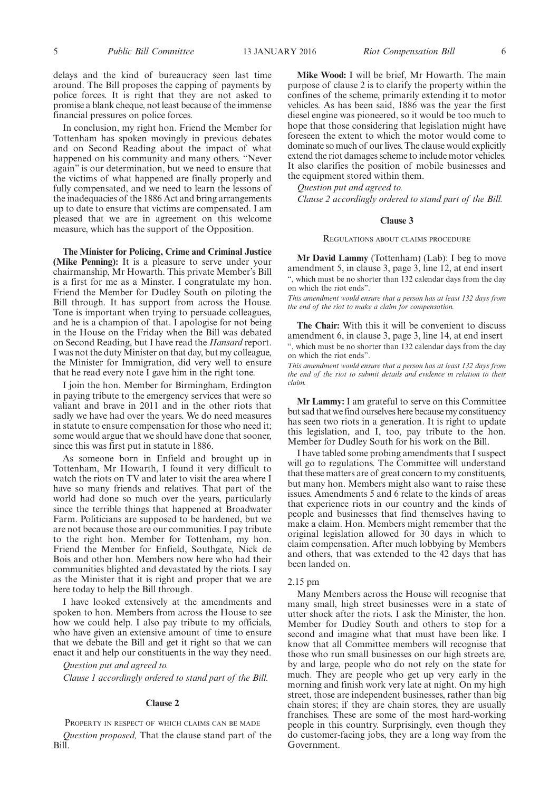delays and the kind of bureaucracy seen last time around. The Bill proposes the capping of payments by police forces. It is right that they are not asked to promise a blank cheque, not least because of the immense financial pressures on police forces.

In conclusion, my right hon. Friend the Member for Tottenham has spoken movingly in previous debates and on Second Reading about the impact of what happened on his community and many others. "Never again" is our determination, but we need to ensure that the victims of what happened are finally properly and fully compensated, and we need to learn the lessons of the inadequacies of the 1886 Act and bring arrangements up to date to ensure that victims are compensated. I am pleased that we are in agreement on this welcome measure, which has the support of the Opposition.

**The Minister for Policing, Crime and Criminal Justice (Mike Penning):** It is a pleasure to serve under your chairmanship, Mr Howarth. This private Member's Bill is a first for me as a Minster. I congratulate my hon. Friend the Member for Dudley South on piloting the Bill through. It has support from across the House. Tone is important when trying to persuade colleagues, and he is a champion of that. I apologise for not being in the House on the Friday when the Bill was debated on Second Reading, but I have read the *Hansard* report. I was not the duty Minister on that day, but my colleague, the Minister for Immigration, did very well to ensure that he read every note I gave him in the right tone.

I join the hon. Member for Birmingham, Erdington in paying tribute to the emergency services that were so valiant and brave in 2011 and in the other riots that sadly we have had over the years. We do need measures in statute to ensure compensation for those who need it; some would argue that we should have done that sooner, since this was first put in statute in 1886.

As someone born in Enfield and brought up in Tottenham, Mr Howarth, I found it very difficult to watch the riots on TV and later to visit the area where I have so many friends and relatives. That part of the world had done so much over the years, particularly since the terrible things that happened at Broadwater Farm. Politicians are supposed to be hardened, but we are not because those are our communities. I pay tribute to the right hon. Member for Tottenham, my hon. Friend the Member for Enfield, Southgate, Nick de Bois and other hon. Members now here who had their communities blighted and devastated by the riots. I say as the Minister that it is right and proper that we are here today to help the Bill through.

I have looked extensively at the amendments and spoken to hon. Members from across the House to see how we could help. I also pay tribute to my officials, who have given an extensive amount of time to ensure that we debate the Bill and get it right so that we can enact it and help our constituents in the way they need.

#### *Question put and agreed to.*

*Clause 1 accordingly ordered to stand part of the Bill.*

#### **Clause 2**

PROPERTY IN RESPECT OF WHICH CLAIMS CAN BE MADE *Question proposed,* That the clause stand part of the Bill.

**Mike Wood:** I will be brief, Mr Howarth. The main purpose of clause 2 is to clarify the property within the confines of the scheme, primarily extending it to motor vehicles. As has been said, 1886 was the year the first diesel engine was pioneered, so it would be too much to hope that those considering that legislation might have foreseen the extent to which the motor would come to dominate so much of our lives. The clause would explicitly extend the riot damages scheme to include motor vehicles. It also clarifies the position of mobile businesses and the equipment stored within them.

*Question put and agreed to.*

*Clause 2 accordingly ordered to stand part of the Bill.*

#### **Clause 3**

REGULATIONS ABOUT CLAIMS PROCEDURE

**Mr David Lammy** (Tottenham) (Lab): I beg to move amendment 5, in clause 3, page 3, line 12, at end insert ", which must be no shorter than 132 calendar days from the day on which the riot ends".

*This amendment would ensure that a person has at least 132 days from the end of the riot to make a claim for compensation.*

**The Chair:** With this it will be convenient to discuss amendment 6, in clause 3, page 3, line 14, at end insert ", which must be no shorter than 132 calendar days from the day on which the riot ends".

*This amendment would ensure that a person has at least 132 days from the end of the riot to submit details and evidence in relation to their claim.*

**Mr Lammy:** I am grateful to serve on this Committee but sad that we find ourselves here because my constituency has seen two riots in a generation. It is right to update this legislation, and I, too, pay tribute to the hon. Member for Dudley South for his work on the Bill.

I have tabled some probing amendments that I suspect will go to regulations. The Committee will understand that these matters are of great concern to my constituents, but many hon. Members might also want to raise these issues. Amendments 5 and 6 relate to the kinds of areas that experience riots in our country and the kinds of people and businesses that find themselves having to make a claim. Hon. Members might remember that the original legislation allowed for 30 days in which to claim compensation. After much lobbying by Members and others, that was extended to the 42 days that has been landed on.

#### 2.15 pm

Many Members across the House will recognise that many small, high street businesses were in a state of utter shock after the riots. I ask the Minister, the hon. Member for Dudley South and others to stop for a second and imagine what that must have been like. I know that all Committee members will recognise that those who run small businesses on our high streets are, by and large, people who do not rely on the state for much. They are people who get up very early in the morning and finish work very late at night. On my high street, those are independent businesses, rather than big chain stores; if they are chain stores, they are usually franchises. These are some of the most hard-working people in this country. Surprisingly, even though they do customer-facing jobs, they are a long way from the Government.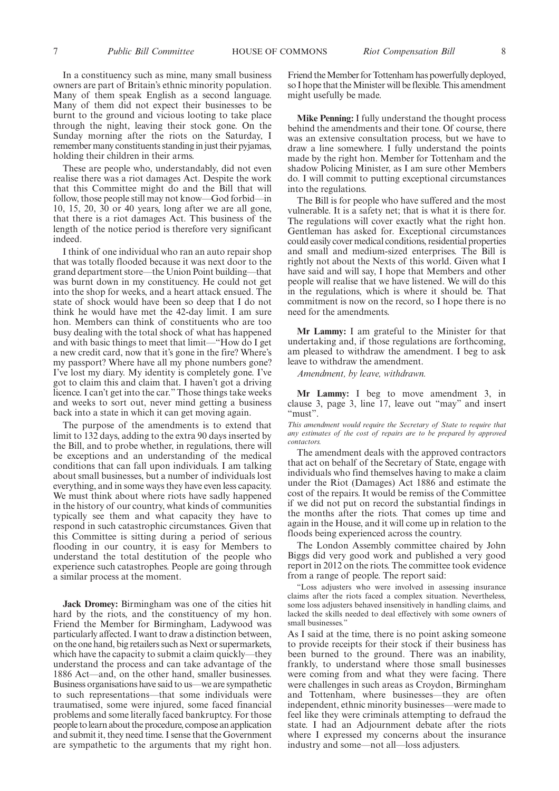In a constituency such as mine, many small business owners are part of Britain's ethnic minority population. Many of them speak English as a second language. Many of them did not expect their businesses to be burnt to the ground and vicious looting to take place through the night, leaving their stock gone. On the Sunday morning after the riots on the Saturday, I remember many constituents standing in just their pyjamas, holding their children in their arms.

These are people who, understandably, did not even realise there was a riot damages Act. Despite the work that this Committee might do and the Bill that will follow, those people still may not know—God forbid—in 10, 15, 20, 30 or 40 years, long after we are all gone, that there is a riot damages Act. This business of the length of the notice period is therefore very significant indeed.

I think of one individual who ran an auto repair shop that was totally flooded because it was next door to the grand department store—the Union Point building—that was burnt down in my constituency. He could not get into the shop for weeks, and a heart attack ensued. The state of shock would have been so deep that I do not think he would have met the 42-day limit. I am sure hon. Members can think of constituents who are too busy dealing with the total shock of what has happened and with basic things to meet that limit—"How do I get a new credit card, now that it's gone in the fire? Where's my passport? Where have all my phone numbers gone? I've lost my diary. My identity is completely gone. I've got to claim this and claim that. I haven't got a driving licence. I can't get into the car." Those things take weeks and weeks to sort out, never mind getting a business back into a state in which it can get moving again.

The purpose of the amendments is to extend that limit to 132 days, adding to the extra 90 days inserted by the Bill, and to probe whether, in regulations, there will be exceptions and an understanding of the medical conditions that can fall upon individuals. I am talking about small businesses, but a number of individuals lost everything, and in some ways they have even less capacity. We must think about where riots have sadly happened in the history of our country, what kinds of communities typically see them and what capacity they have to respond in such catastrophic circumstances. Given that this Committee is sitting during a period of serious flooding in our country, it is easy for Members to understand the total destitution of the people who experience such catastrophes. People are going through a similar process at the moment.

**Jack Dromey:** Birmingham was one of the cities hit hard by the riots, and the constituency of my hon. Friend the Member for Birmingham, Ladywood was particularly affected. I want to draw a distinction between, on the one hand, big retailers such as Next or supermarkets, which have the capacity to submit a claim quickly—they understand the process and can take advantage of the 1886 Act—and, on the other hand, smaller businesses. Business organisations have said to us—we are sympathetic to such representations—that some individuals were traumatised, some were injured, some faced financial problems and some literally faced bankruptcy. For those people tolearn about the procedure, compose an application and submit it, they need time. I sense that the Government are sympathetic to the arguments that my right hon.

Friend the Member for Tottenham has powerfully deployed, so I hope that the Minister will be flexible. This amendment might usefully be made.

**Mike Penning:** I fully understand the thought process behind the amendments and their tone. Of course, there was an extensive consultation process, but we have to draw a line somewhere. I fully understand the points made by the right hon. Member for Tottenham and the shadow Policing Minister, as I am sure other Members do. I will commit to putting exceptional circumstances into the regulations.

The Bill is for people who have suffered and the most vulnerable. It is a safety net; that is what it is there for. The regulations will cover exactly what the right hon. Gentleman has asked for. Exceptional circumstances could easily cover medical conditions, residential properties and small and medium-sized enterprises. The Bill is rightly not about the Nexts of this world. Given what I have said and will say, I hope that Members and other people will realise that we have listened. We will do this in the regulations, which is where it should be. That commitment is now on the record, so I hope there is no need for the amendments.

**Mr Lammy:** I am grateful to the Minister for that undertaking and, if those regulations are forthcoming, am pleased to withdraw the amendment. I beg to ask leave to withdraw the amendment.

*Amendment, by leave, withdrawn.*

**Mr Lammy:** I beg to move amendment 3, in clause 3, page 3, line 17, leave out "may" and insert "must".

*This amendment would require the Secretary of State to require that any estimates of the cost of repairs are to be prepared by approved contactors.*

The amendment deals with the approved contractors that act on behalf of the Secretary of State, engage with individuals who find themselves having to make a claim under the Riot (Damages) Act 1886 and estimate the cost of the repairs. It would be remiss of the Committee if we did not put on record the substantial findings in the months after the riots. That comes up time and again in the House, and it will come up in relation to the floods being experienced across the country.

The London Assembly committee chaired by John Biggs did very good work and published a very good report in 2012 on the riots. The committee took evidence from a range of people. The report said:

"Loss adjusters who were involved in assessing insurance claims after the riots faced a complex situation. Nevertheless, some loss adjusters behaved insensitively in handling claims, and lacked the skills needed to deal effectively with some owners of small businesses."

As I said at the time, there is no point asking someone to provide receipts for their stock if their business has been burned to the ground. There was an inability, frankly, to understand where those small businesses were coming from and what they were facing. There were challenges in such areas as Croydon, Birmingham and Tottenham, where businesses—they are often independent, ethnic minority businesses—were made to feel like they were criminals attempting to defraud the state. I had an Adjournment debate after the riots where I expressed my concerns about the insurance industry and some—not all—loss adjusters.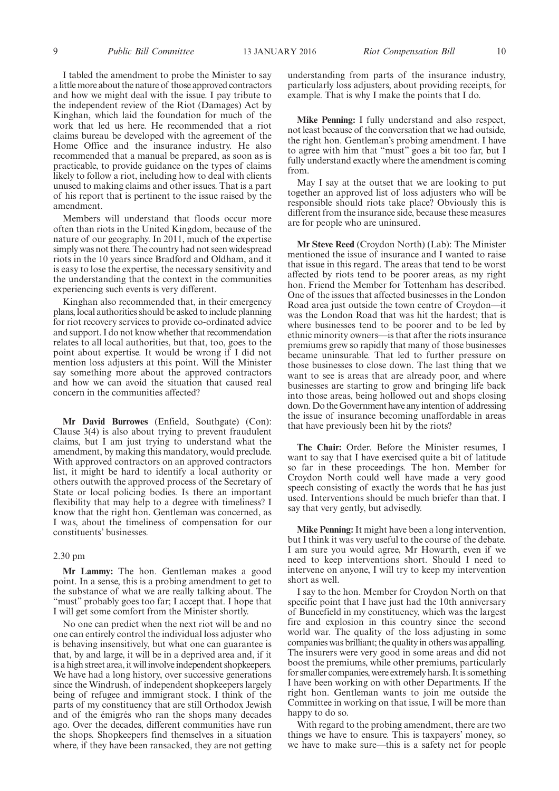I tabled the amendment to probe the Minister to say a little more about the nature of those approved contractors and how we might deal with the issue. I pay tribute to the independent review of the Riot (Damages) Act by Kinghan, which laid the foundation for much of the work that led us here. He recommended that a riot claims bureau be developed with the agreement of the Home Office and the insurance industry. He also recommended that a manual be prepared, as soon as is practicable, to provide guidance on the types of claims likely to follow a riot, including how to deal with clients unused to making claims and other issues. That is a part of his report that is pertinent to the issue raised by the amendment.

Members will understand that floods occur more often than riots in the United Kingdom, because of the nature of our geography. In 2011, much of the expertise simply was not there. The country had not seen widespread riots in the 10 years since Bradford and Oldham, and it is easy to lose the expertise, the necessary sensitivity and the understanding that the context in the communities experiencing such events is very different.

Kinghan also recommended that, in their emergency plans, local authorities should be asked to include planning for riot recovery services to provide co-ordinated advice and support. I do not know whether that recommendation relates to all local authorities, but that, too, goes to the point about expertise. It would be wrong if I did not mention loss adjusters at this point. Will the Minister say something more about the approved contractors and how we can avoid the situation that caused real concern in the communities affected?

**Mr David Burrowes** (Enfield, Southgate) (Con): Clause 3(4) is also about trying to prevent fraudulent claims, but I am just trying to understand what the amendment, by making this mandatory, would preclude. With approved contractors on an approved contractors list, it might be hard to identify a local authority or others outwith the approved process of the Secretary of State or local policing bodies. Is there an important flexibility that may help to a degree with timeliness? I know that the right hon. Gentleman was concerned, as I was, about the timeliness of compensation for our constituents' businesses.

#### 2.30 pm

**Mr Lammy:** The hon. Gentleman makes a good point. In a sense, this is a probing amendment to get to the substance of what we are really talking about. The "must" probably goes too far; I accept that. I hope that I will get some comfort from the Minister shortly.

No one can predict when the next riot will be and no one can entirely control the individual loss adjuster who is behaving insensitively, but what one can guarantee is that, by and large, it will be in a deprived area and, if it is a high street area, it will involve independent shopkeepers. We have had a long history, over successive generations since the Windrush, of independent shopkeepers largely being of refugee and immigrant stock. I think of the parts of my constituency that are still Orthodox Jewish and of the émigrés who ran the shops many decades ago. Over the decades, different communities have run the shops. Shopkeepers find themselves in a situation where, if they have been ransacked, they are not getting understanding from parts of the insurance industry, particularly loss adjusters, about providing receipts, for example. That is why I make the points that I do.

**Mike Penning:** I fully understand and also respect, not least because of the conversation that we had outside, the right hon. Gentleman's probing amendment. I have to agree with him that "must" goes a bit too far, but I fully understand exactly where the amendment is coming from.

May I say at the outset that we are looking to put together an approved list of loss adjusters who will be responsible should riots take place? Obviously this is different from the insurance side, because these measures are for people who are uninsured.

**Mr Steve Reed** (Croydon North) (Lab): The Minister mentioned the issue of insurance and I wanted to raise that issue in this regard. The areas that tend to be worst affected by riots tend to be poorer areas, as my right hon. Friend the Member for Tottenham has described. One of the issues that affected businesses in the London Road area just outside the town centre of Croydon—it was the London Road that was hit the hardest; that is where businesses tend to be poorer and to be led by ethnic minority owners—is that after the riots insurance premiums grew so rapidly that many of those businesses became uninsurable. That led to further pressure on those businesses to close down. The last thing that we want to see is areas that are already poor, and where businesses are starting to grow and bringing life back into those areas, being hollowed out and shops closing down. Do the Government have any intention of addressing the issue of insurance becoming unaffordable in areas that have previously been hit by the riots?

**The Chair:** Order. Before the Minister resumes, I want to say that I have exercised quite a bit of latitude so far in these proceedings. The hon. Member for Croydon North could well have made a very good speech consisting of exactly the words that he has just used. Interventions should be much briefer than that. I say that very gently, but advisedly.

**Mike Penning:** It might have been a long intervention, but I think it was very useful to the course of the debate. I am sure you would agree, Mr Howarth, even if we need to keep interventions short. Should I need to intervene on anyone, I will try to keep my intervention short as well.

I say to the hon. Member for Croydon North on that specific point that I have just had the 10th anniversary of Buncefield in my constituency, which was the largest fire and explosion in this country since the second world war. The quality of the loss adjusting in some companies was brilliant; the quality in others was appalling. The insurers were very good in some areas and did not boost the premiums, while other premiums, particularly for smaller companies, were extremely harsh. It is something I have been working on with other Departments. If the right hon. Gentleman wants to join me outside the Committee in working on that issue, I will be more than happy to do so.

With regard to the probing amendment, there are two things we have to ensure. This is taxpayers' money, so we have to make sure—this is a safety net for people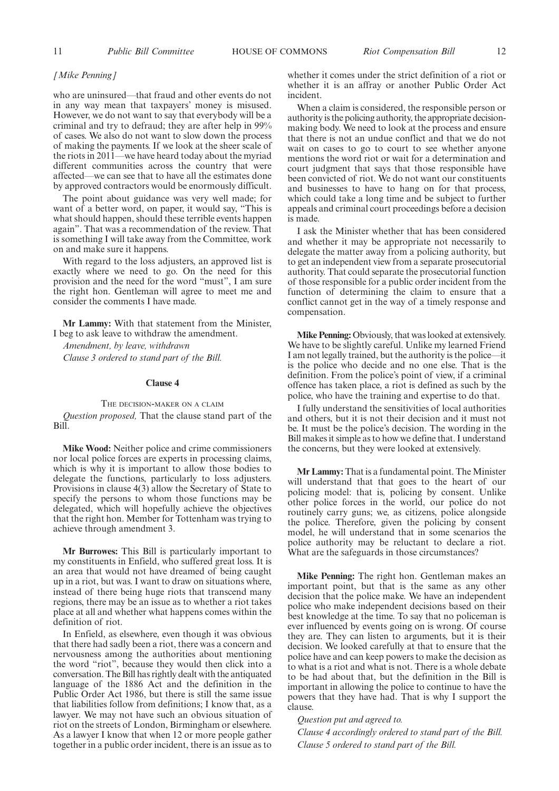#### *[Mike Penning]*

who are uninsured—that fraud and other events do not in any way mean that taxpayers' money is misused. However, we do not want to say that everybody will be a criminal and try to defraud; they are after help in 99% of cases. We also do not want to slow down the process of making the payments. If we look at the sheer scale of the riots in 2011—we have heard today about the myriad different communities across the country that were affected—we can see that to have all the estimates done by approved contractors would be enormously difficult.

The point about guidance was very well made; for want of a better word, on paper, it would say, "This is what should happen, should these terrible events happen again". That was a recommendation of the review. That is something I will take away from the Committee, work on and make sure it happens.

With regard to the loss adjusters, an approved list is exactly where we need to go. On the need for this provision and the need for the word "must", I am sure the right hon. Gentleman will agree to meet me and consider the comments I have made.

**Mr Lammy:** With that statement from the Minister, I beg to ask leave to withdraw the amendment.

*Amendment, by leave, withdrawn Clause 3 ordered to stand part of the Bill.*

#### **Clause 4**

THE DECISION-MAKER ON A CLAIM

*Question proposed,* That the clause stand part of the Bill.

**Mike Wood:** Neither police and crime commissioners nor local police forces are experts in processing claims, which is why it is important to allow those bodies to delegate the functions, particularly to loss adjusters. Provisions in clause 4(3) allow the Secretary of State to specify the persons to whom those functions may be delegated, which will hopefully achieve the objectives that the right hon. Member for Tottenham was trying to achieve through amendment 3.

**Mr Burrowes:** This Bill is particularly important to my constituents in Enfield, who suffered great loss. It is an area that would not have dreamed of being caught up in a riot, but was. I want to draw on situations where, instead of there being huge riots that transcend many regions, there may be an issue as to whether a riot takes place at all and whether what happens comes within the definition of riot.

In Enfield, as elsewhere, even though it was obvious that there had sadly been a riot, there was a concern and nervousness among the authorities about mentioning the word "riot", because they would then click into a conversation. The Bill has rightly dealt with the antiquated language of the 1886 Act and the definition in the Public Order Act 1986, but there is still the same issue that liabilities follow from definitions; I know that, as a lawyer. We may not have such an obvious situation of riot on the streets of London, Birmingham or elsewhere. As a lawyer I know that when 12 or more people gather together in a public order incident, there is an issue as to

whether it comes under the strict definition of a riot or whether it is an affray or another Public Order Act incident.

When a claim is considered, the responsible person or authority is the policing authority, the appropriate decisionmaking body. We need to look at the process and ensure that there is not an undue conflict and that we do not wait on cases to go to court to see whether anyone mentions the word riot or wait for a determination and court judgment that says that those responsible have been convicted of riot. We do not want our constituents and businesses to have to hang on for that process, which could take a long time and be subject to further appeals and criminal court proceedings before a decision is made.

I ask the Minister whether that has been considered and whether it may be appropriate not necessarily to delegate the matter away from a policing authority, but to get an independent view from a separate prosecutorial authority. That could separate the prosecutorial function of those responsible for a public order incident from the function of determining the claim to ensure that a conflict cannot get in the way of a timely response and compensation.

**Mike Penning:** Obviously, that was looked at extensively. We have to be slightly careful. Unlike my learned Friend I am not legally trained, but the authority is the police—it is the police who decide and no one else. That is the definition. From the police's point of view, if a criminal offence has taken place, a riot is defined as such by the police, who have the training and expertise to do that.

I fully understand the sensitivities of local authorities and others, but it is not their decision and it must not be. It must be the police's decision. The wording in the Bill makes it simple as to how we define that. I understand the concerns, but they were looked at extensively.

**Mr Lammy:** That is a fundamental point. The Minister will understand that that goes to the heart of our policing model: that is, policing by consent. Unlike other police forces in the world, our police do not routinely carry guns; we, as citizens, police alongside the police. Therefore, given the policing by consent model, he will understand that in some scenarios the police authority may be reluctant to declare a riot. What are the safeguards in those circumstances?

**Mike Penning:** The right hon. Gentleman makes an important point, but that is the same as any other decision that the police make. We have an independent police who make independent decisions based on their best knowledge at the time. To say that no policeman is ever influenced by events going on is wrong. Of course they are. They can listen to arguments, but it is their decision. We looked carefully at that to ensure that the police have and can keep powers to make the decision as to what is a riot and what is not. There is a whole debate to be had about that, but the definition in the Bill is important in allowing the police to continue to have the powers that they have had. That is why I support the clause.

*Question put and agreed to.*

*Clause 4 accordingly ordered to stand part of the Bill. Clause 5 ordered to stand part of the Bill.*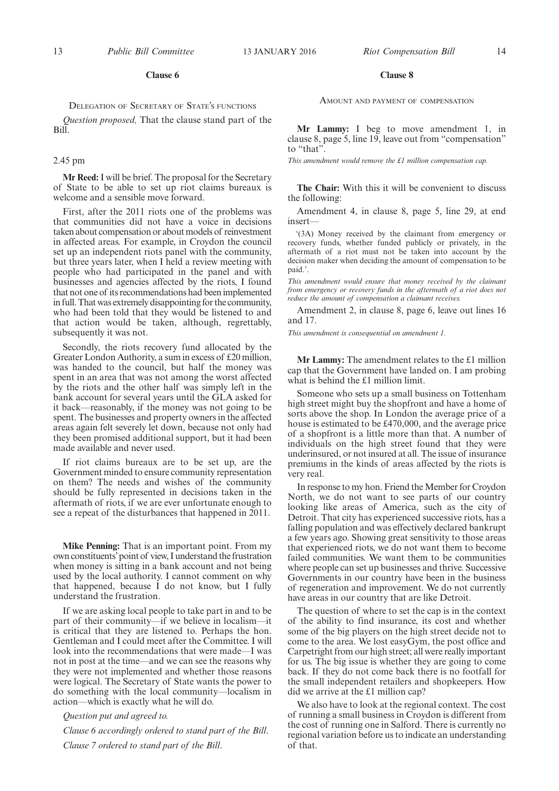#### **Clause 6**

#### DELEGATION OF SECRETARY OF STATE'S FUNCTIONS

*Question proposed,* That the clause stand part of the Bill.

#### 2.45 pm

**Mr Reed:**I will be brief. The proposal for the Secretary of State to be able to set up riot claims bureaux is welcome and a sensible move forward.

First, after the 2011 riots one of the problems was that communities did not have a voice in decisions taken about compensation or about models of reinvestment in affected areas. For example, in Croydon the council set up an independent riots panel with the community, but three years later, when I held a review meeting with people who had participated in the panel and with businesses and agencies affected by the riots, I found that not one of its recommendations had been implemented in full. That was extremely disappointing for the community, who had been told that they would be listened to and that action would be taken, although, regrettably, subsequently it was not.

Secondly, the riots recovery fund allocated by the Greater London Authority, a sum in excess of £20 million, was handed to the council, but half the money was spent in an area that was not among the worst affected by the riots and the other half was simply left in the bank account for several years until the GLA asked for it back—reasonably, if the money was not going to be spent. The businesses and property owners in the affected areas again felt severely let down, because not only had they been promised additional support, but it had been made available and never used.

If riot claims bureaux are to be set up, are the Government minded to ensure community representation on them? The needs and wishes of the community should be fully represented in decisions taken in the aftermath of riots, if we are ever unfortunate enough to see a repeat of the disturbances that happened in 2011.

**Mike Penning:** That is an important point. From my own constituents'point of view, I understand the frustration when money is sitting in a bank account and not being used by the local authority. I cannot comment on why that happened, because I do not know, but I fully understand the frustration.

If we are asking local people to take part in and to be part of their community—if we believe in localism—it is critical that they are listened to. Perhaps the hon. Gentleman and I could meet after the Committee. I will look into the recommendations that were made—I was not in post at the time—and we can see the reasons why they were not implemented and whether those reasons were logical. The Secretary of State wants the power to do something with the local community—localism in action—which is exactly what he will do.

*Question put and agreed to.*

*Clause 6 accordingly ordered to stand part of the Bill*. *Clause 7 ordered to stand part of the Bill*.

#### **Clause 8**

AMOUNT AND PAYMENT OF COMPENSATION

**Mr Lammy:** I beg to move amendment 1, in clause 8, page 5, line 19, leave out from "compensation" to "that".

*This amendment would remove the £1 million compensation cap.*

**The Chair:** With this it will be convenient to discuss the following:

Amendment 4, in clause 8, page 5, line 29, at end insert—

'(3A) Money received by the claimant from emergency or recovery funds, whether funded publicly or privately, in the aftermath of a riot must not be taken into account by the decision maker when deciding the amount of compensation to be paid.'.

*This amendment would ensure that money received by the claimant from emergency or recovery funds in the aftermath of a riot does not reduce the amount of compensation a claimant receives.*

Amendment 2, in clause 8, page 6, leave out lines 16 and 17.

*This amendment is consequential on amendment 1.*

**Mr Lammy:** The amendment relates to the £1 million cap that the Government have landed on. I am probing what is behind the £1 million limit.

Someone who sets up a small business on Tottenham high street might buy the shopfront and have a home of sorts above the shop. In London the average price of a house is estimated to be £470,000, and the average price of a shopfront is a little more than that. A number of individuals on the high street found that they were underinsured, or not insured at all. The issue of insurance premiums in the kinds of areas affected by the riots is very real.

In response to my hon. Friend the Member for Croydon North, we do not want to see parts of our country looking like areas of America, such as the city of Detroit. That city has experienced successive riots, has a falling population and was effectively declared bankrupt a few years ago. Showing great sensitivity to those areas that experienced riots, we do not want them to become failed communities. We want them to be communities where people can set up businesses and thrive. Successive Governments in our country have been in the business of regeneration and improvement. We do not currently have areas in our country that are like Detroit.

The question of where to set the cap is in the context of the ability to find insurance, its cost and whether some of the big players on the high street decide not to come to the area. We lost easyGym, the post office and Carpetright from our high street; all were really important for us. The big issue is whether they are going to come back. If they do not come back there is no footfall for the small independent retailers and shopkeepers. How did we arrive at the £1 million cap?

We also have to look at the regional context. The cost of running a small business in Croydon is different from the cost of running one in Salford. There is currently no regional variation before us to indicate an understanding of that.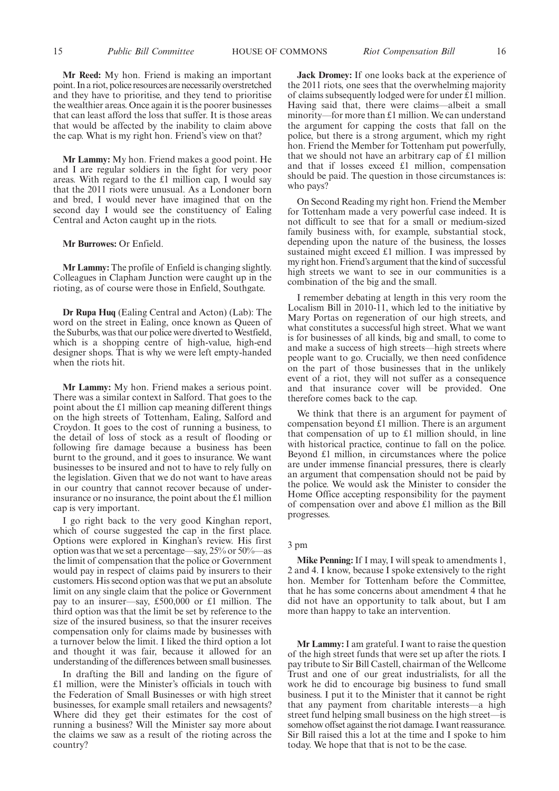**Mr Reed:** My hon. Friend is making an important point. In a riot, police resources are necessarily overstretched and they have to prioritise, and they tend to prioritise the wealthier areas. Once again it is the poorer businesses that can least afford the loss that suffer. It is those areas

**Mr Lammy:** My hon. Friend makes a good point. He and I are regular soldiers in the fight for very poor areas. With regard to the £1 million cap, I would say that the 2011 riots were unusual. As a Londoner born and bred, I would never have imagined that on the second day I would see the constituency of Ealing Central and Acton caught up in the riots.

that would be affected by the inability to claim above the cap. What is my right hon. Friend's view on that?

#### **Mr Burrowes:** Or Enfield.

**Mr Lammy:** The profile of Enfield is changing slightly. Colleagues in Clapham Junction were caught up in the rioting, as of course were those in Enfield, Southgate.

**Dr Rupa Huq** (Ealing Central and Acton) (Lab): The word on the street in Ealing, once known as Queen of the Suburbs, was that our police were diverted to Westfield, which is a shopping centre of high-value, high-end designer shops. That is why we were left empty-handed when the riots hit.

**Mr Lammy:** My hon. Friend makes a serious point. There was a similar context in Salford. That goes to the point about the £1 million cap meaning different things on the high streets of Tottenham, Ealing, Salford and Croydon. It goes to the cost of running a business, to the detail of loss of stock as a result of flooding or following fire damage because a business has been burnt to the ground, and it goes to insurance. We want businesses to be insured and not to have to rely fully on the legislation. Given that we do not want to have areas in our country that cannot recover because of underinsurance or no insurance, the point about the £1 million cap is very important.

I go right back to the very good Kinghan report, which of course suggested the cap in the first place. Options were explored in Kinghan's review. His first option was that we set a percentage—say, 25% or 50%—as the limit of compensation that the police or Government would pay in respect of claims paid by insurers to their customers. His second option was that we put an absolute limit on any single claim that the police or Government pay to an insurer—say, £500,000 or £1 million. The third option was that the limit be set by reference to the size of the insured business, so that the insurer receives compensation only for claims made by businesses with a turnover below the limit. I liked the third option a lot and thought it was fair, because it allowed for an understanding of the differences between small businesses.

In drafting the Bill and landing on the figure of £1 million, were the Minister's officials in touch with the Federation of Small Businesses or with high street businesses, for example small retailers and newsagents? Where did they get their estimates for the cost of running a business? Will the Minister say more about the claims we saw as a result of the rioting across the country?

**Jack Dromey:** If one looks back at the experience of the 2011 riots, one sees that the overwhelming majority of claims subsequently lodged were for under £1 million. Having said that, there were claims—albeit a small minority—for more than £1 million. We can understand the argument for capping the costs that fall on the police, but there is a strong argument, which my right hon. Friend the Member for Tottenham put powerfully, that we should not have an arbitrary cap of £1 million and that if losses exceed £1 million, compensation should be paid. The question in those circumstances is: who pays?

On Second Reading my right hon. Friend the Member for Tottenham made a very powerful case indeed. It is not difficult to see that for a small or medium-sized family business with, for example, substantial stock, depending upon the nature of the business, the losses sustained might exceed £1 million. I was impressed by my right hon. Friend's argument that the kind of successful high streets we want to see in our communities is a combination of the big and the small.

I remember debating at length in this very room the Localism Bill in 2010-11, which led to the initiative by Mary Portas on regeneration of our high streets, and what constitutes a successful high street. What we want is for businesses of all kinds, big and small, to come to and make a success of high streets—high streets where people want to go. Crucially, we then need confidence on the part of those businesses that in the unlikely event of a riot, they will not suffer as a consequence and that insurance cover will be provided. One therefore comes back to the cap.

We think that there is an argument for payment of compensation beyond £1 million. There is an argument that compensation of up to  $£1$  million should, in line with historical practice, continue to fall on the police. Beyond £1 million, in circumstances where the police are under immense financial pressures, there is clearly an argument that compensation should not be paid by the police. We would ask the Minister to consider the Home Office accepting responsibility for the payment of compensation over and above £1 million as the Bill progresses.

#### 3 pm

**Mike Penning:** If I may, I will speak to amendments 1, 2 and 4. I know, because I spoke extensively to the right hon. Member for Tottenham before the Committee, that he has some concerns about amendment 4 that he did not have an opportunity to talk about, but I am more than happy to take an intervention.

**Mr Lammy:** I am grateful. I want to raise the question of the high street funds that were set up after the riots. I pay tribute to Sir Bill Castell, chairman of the Wellcome Trust and one of our great industrialists, for all the work he did to encourage big business to fund small business. I put it to the Minister that it cannot be right that any payment from charitable interests—a high street fund helping small business on the high street—is somehow offset against the riot damage. I want reassurance. Sir Bill raised this a lot at the time and I spoke to him today. We hope that that is not to be the case.